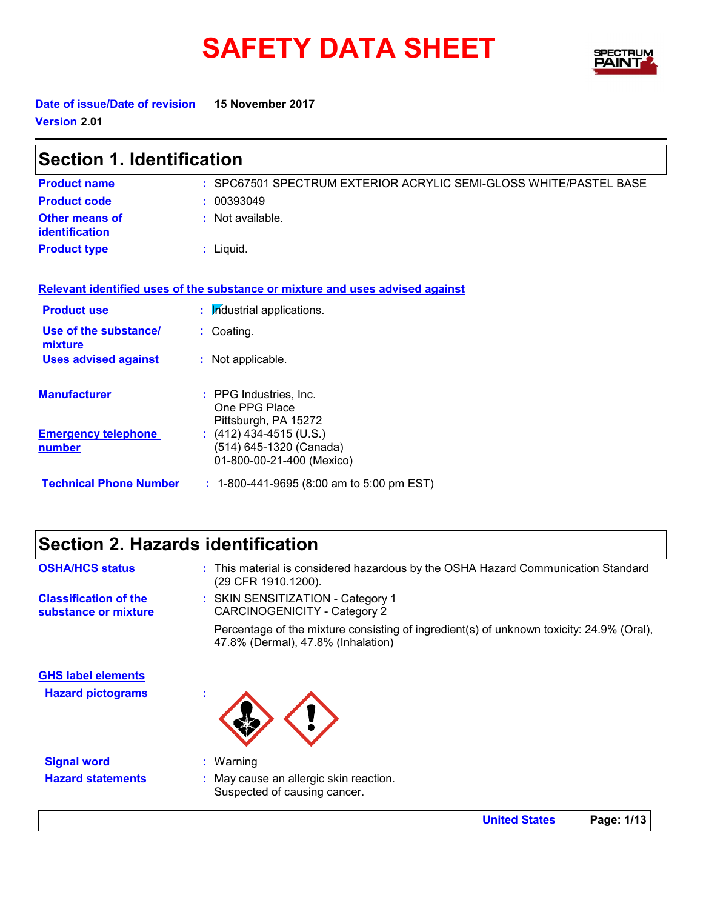# SAFETY DATA SHEET SPECTRY



**Date of issue/Date of revision 15 November 2017 Version 2.01**

| <b>Section 1. Identification</b>               |                                                                                 |  |
|------------------------------------------------|---------------------------------------------------------------------------------|--|
| <b>Product name</b>                            | : SPC67501 SPECTRUM EXTERIOR ACRYLIC SEMI-GLOSS WHITE/PASTEL BASE               |  |
| <b>Product code</b>                            | : 00393049                                                                      |  |
| <b>Other means of</b><br><b>identification</b> | : Not available.                                                                |  |
| <b>Product type</b>                            | $:$ Liquid.                                                                     |  |
|                                                | Relevant identified uses of the substance or mixture and uses advised against   |  |
| <b>Product use</b>                             | : Industrial applications.                                                      |  |
| Use of the substance/<br>mixture               | : Coating.                                                                      |  |
| <b>Uses advised against</b>                    | : Not applicable.                                                               |  |
| <b>Manufacturer</b>                            | : PPG Industries, Inc.<br>One PPG Place<br>Pittsburgh, PA 15272                 |  |
| <b>Emergency telephone</b><br><u>number</u>    | $(412)$ 434-4515 (U.S.)<br>(514) 645-1320 (Canada)<br>01-800-00-21-400 (Mexico) |  |
| <b>Technical Phone Number</b>                  | $: 1-800-441-9695 (8:00 am to 5:00 pm EST)$                                     |  |

# **Section 2. Hazards identification**

| <b>OSHA/HCS status</b>                               | : This material is considered hazardous by the OSHA Hazard Communication Standard<br>(29 CFR 1910.1200).                       |
|------------------------------------------------------|--------------------------------------------------------------------------------------------------------------------------------|
| <b>Classification of the</b><br>substance or mixture | : SKIN SENSITIZATION - Category 1<br><b>CARCINOGENICITY - Category 2</b>                                                       |
|                                                      | Percentage of the mixture consisting of ingredient(s) of unknown toxicity: 24.9% (Oral),<br>47.8% (Dermal), 47.8% (Inhalation) |
| <b>GHS label elements</b>                            |                                                                                                                                |
| <b>Hazard pictograms</b>                             | ×.                                                                                                                             |
| <b>Signal word</b>                                   | $:$ Warning                                                                                                                    |
| <b>Hazard statements</b>                             | : May cause an allergic skin reaction.<br>Suspected of causing cancer.                                                         |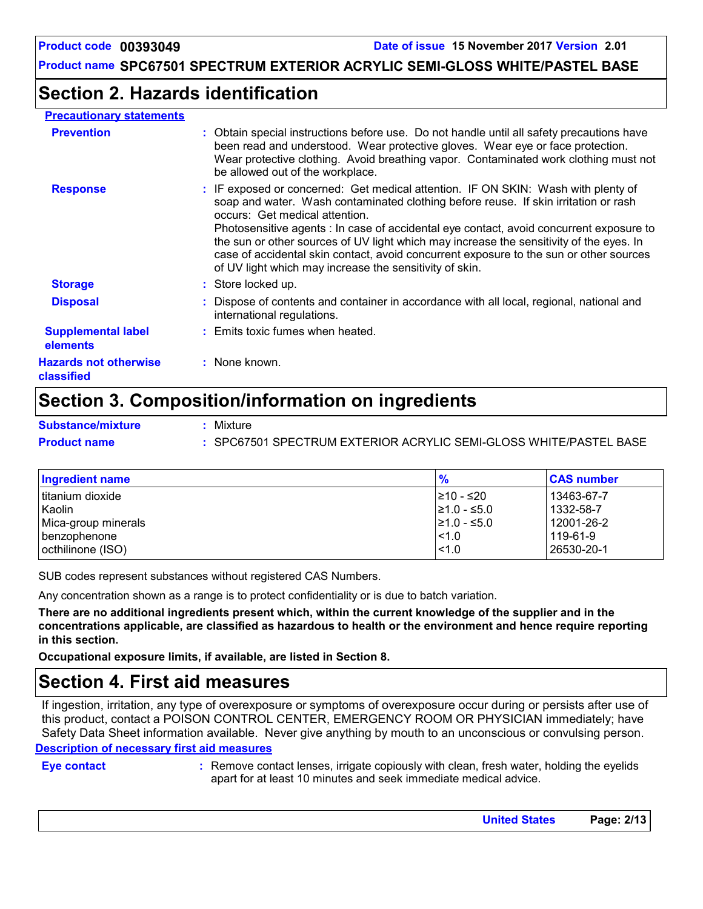# **Section 2. Hazards identification**

#### **Precautionary statements**

| <b>Prevention</b>                            | : Obtain special instructions before use. Do not handle until all safety precautions have<br>been read and understood. Wear protective gloves. Wear eye or face protection.<br>Wear protective clothing. Avoid breathing vapor. Contaminated work clothing must not<br>be allowed out of the workplace.                                                                                                                                                                                                                                               |
|----------------------------------------------|-------------------------------------------------------------------------------------------------------------------------------------------------------------------------------------------------------------------------------------------------------------------------------------------------------------------------------------------------------------------------------------------------------------------------------------------------------------------------------------------------------------------------------------------------------|
| <b>Response</b>                              | : IF exposed or concerned: Get medical attention. IF ON SKIN: Wash with plenty of<br>soap and water. Wash contaminated clothing before reuse. If skin irritation or rash<br>occurs: Get medical attention.<br>Photosensitive agents : In case of accidental eye contact, avoid concurrent exposure to<br>the sun or other sources of UV light which may increase the sensitivity of the eyes. In<br>case of accidental skin contact, avoid concurrent exposure to the sun or other sources<br>of UV light which may increase the sensitivity of skin. |
| <b>Storage</b>                               | : Store locked up.                                                                                                                                                                                                                                                                                                                                                                                                                                                                                                                                    |
| <b>Disposal</b>                              | : Dispose of contents and container in accordance with all local, regional, national and<br>international regulations.                                                                                                                                                                                                                                                                                                                                                                                                                                |
| <b>Supplemental label</b><br><b>elements</b> | : Emits toxic fumes when heated.                                                                                                                                                                                                                                                                                                                                                                                                                                                                                                                      |
| <b>Hazards not otherwise</b><br>classified   | : None known.                                                                                                                                                                                                                                                                                                                                                                                                                                                                                                                                         |

# **Section 3. Composition/information on ingredients**

**Substance/mixture :**

- Mixture
- **Product name :** SPC67501 SPECTRUM EXTERIOR ACRYLIC SEMI-GLOSS WHITE/PASTEL BASE

| <b>Ingredient name</b> | $\frac{9}{6}$    | <b>CAS number</b> |
|------------------------|------------------|-------------------|
| l titanium dioxide     | I≥10 - ≤20       | 13463-67-7        |
| Kaolin                 | $\geq 1.0 - 5.0$ | 1332-58-7         |
| Mica-group minerals    | I≥1.0 - ≤5.0     | 12001-26-2        |
| l benzophenone         | $ $ < 1.0        | 119-61-9          |
| octhilinone (ISO)      | $\leq 1.0$       | 26530-20-1        |

SUB codes represent substances without registered CAS Numbers.

Any concentration shown as a range is to protect confidentiality or is due to batch variation.

**There are no additional ingredients present which, within the current knowledge of the supplier and in the concentrations applicable, are classified as hazardous to health or the environment and hence require reporting in this section.**

**Occupational exposure limits, if available, are listed in Section 8.**

### **Section 4. First aid measures**

**Description of necessary first aid measures** If ingestion, irritation, any type of overexposure or symptoms of overexposure occur during or persists after use of this product, contact a POISON CONTROL CENTER, EMERGENCY ROOM OR PHYSICIAN immediately; have Safety Data Sheet information available. Never give anything by mouth to an unconscious or convulsing person.

**Eye contact :**

Remove contact lenses, irrigate copiously with clean, fresh water, holding the eyelids apart for at least 10 minutes and seek immediate medical advice.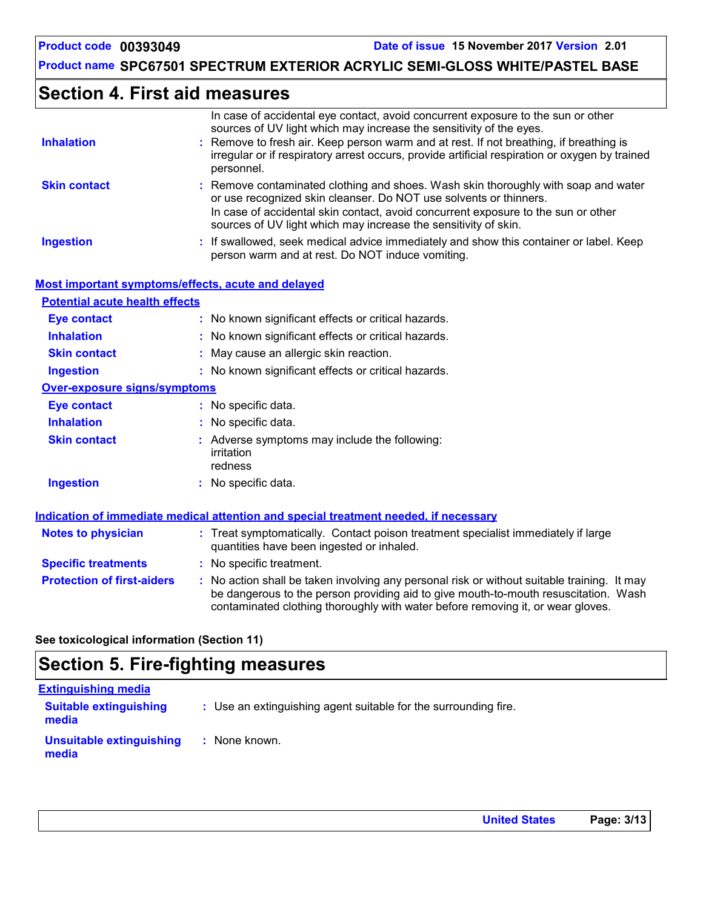### **Section 4. First aid measures**

|                                                    | In case of accidental eye contact, avoid concurrent exposure to the sun or other<br>sources of UV light which may increase the sensitivity of the eyes.                                                                                      |
|----------------------------------------------------|----------------------------------------------------------------------------------------------------------------------------------------------------------------------------------------------------------------------------------------------|
| <b>Inhalation</b>                                  | Remove to fresh air. Keep person warm and at rest. If not breathing, if breathing is                                                                                                                                                         |
|                                                    | irregular or if respiratory arrest occurs, provide artificial respiration or oxygen by trained<br>personnel.                                                                                                                                 |
| <b>Skin contact</b>                                | : Remove contaminated clothing and shoes. Wash skin thoroughly with soap and water<br>or use recognized skin cleanser. Do NOT use solvents or thinners.<br>In case of accidental skin contact, avoid concurrent exposure to the sun or other |
|                                                    | sources of UV light which may increase the sensitivity of skin.                                                                                                                                                                              |
| <b>Ingestion</b>                                   | : If swallowed, seek medical advice immediately and show this container or label. Keep<br>person warm and at rest. Do NOT induce vomiting.                                                                                                   |
| Most important symptoms/effects, acute and delayed |                                                                                                                                                                                                                                              |
| <b>Potential acute health effects</b>              |                                                                                                                                                                                                                                              |
| <b>Eye contact</b>                                 | : No known significant effects or critical hazards.                                                                                                                                                                                          |
| <b>Inhalation</b>                                  | : No known significant effects or critical hazards.                                                                                                                                                                                          |
| <b>Skin contact</b>                                | May cause an allergic skin reaction.                                                                                                                                                                                                         |
| <b>Ingestion</b>                                   | : No known significant effects or critical hazards.                                                                                                                                                                                          |
| <b>Over-exposure signs/symptoms</b>                |                                                                                                                                                                                                                                              |
| <b>Eye contact</b>                                 | : No specific data.                                                                                                                                                                                                                          |
| <b>Inhalation</b>                                  | : No specific data.                                                                                                                                                                                                                          |
| <b>Skin contact</b>                                | : Adverse symptoms may include the following:<br>irritation<br>redness                                                                                                                                                                       |
| <b>Ingestion</b>                                   | : No specific data.                                                                                                                                                                                                                          |
|                                                    | Indication of immediate medical attention and special treatment needed, if necessary                                                                                                                                                         |
| <b>Notes to physician</b>                          | : Treat symptomatically. Contact poison treatment specialist immediately if large                                                                                                                                                            |
|                                                    | quantities have been ingested or inhaled.                                                                                                                                                                                                    |
| <b>Specific treatments</b>                         | : No specific treatment.                                                                                                                                                                                                                     |
| <b>Protection of first-aiders</b>                  | : No action shall be taken involving any personal risk or without suitable training. It may                                                                                                                                                  |

be dangerous to the person providing aid to give mouth-to-mouth resuscitation. Wash

contaminated clothing thoroughly with water before removing it, or wear gloves.

#### **See toxicological information (Section 11)**

# **Section 5. Fire-fighting measures**

| <b>Extinguishing media</b>               |                                                                 |
|------------------------------------------|-----------------------------------------------------------------|
| <b>Suitable extinguishing</b><br>media   | : Use an extinguishing agent suitable for the surrounding fire. |
| <b>Unsuitable extinguishing</b><br>media | : None known.                                                   |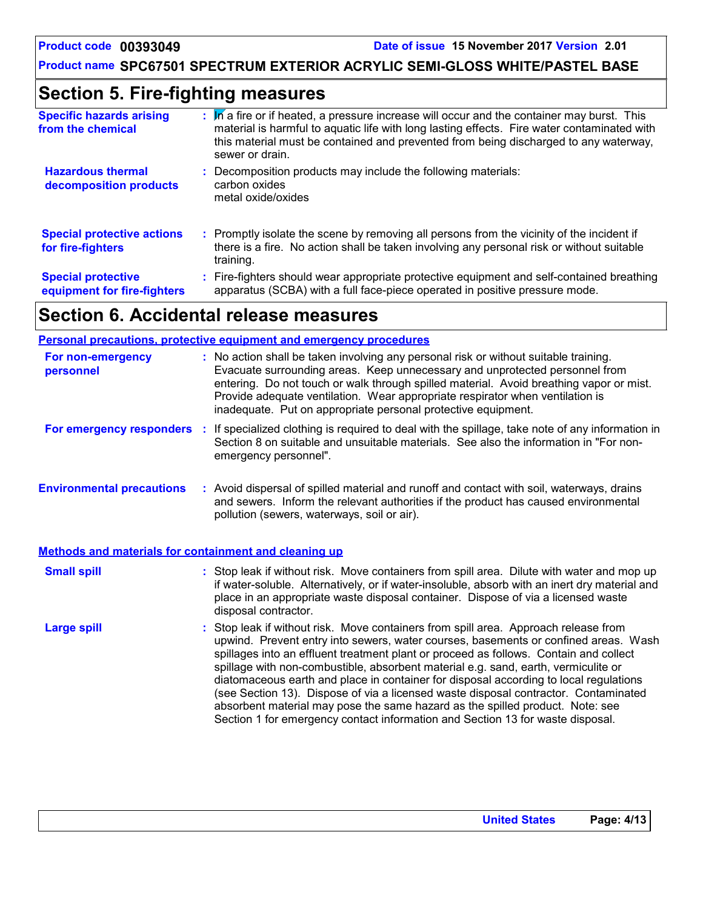### **Section 5. Fire-fighting measures**

| <b>Specific hazards arising</b><br>from the chemical     | : M a fire or if heated, a pressure increase will occur and the container may burst. This<br>material is harmful to aquatic life with long lasting effects. Fire water contaminated with<br>this material must be contained and prevented from being discharged to any waterway,<br>sewer or drain. |
|----------------------------------------------------------|-----------------------------------------------------------------------------------------------------------------------------------------------------------------------------------------------------------------------------------------------------------------------------------------------------|
| <b>Hazardous thermal</b><br>decomposition products       | Decomposition products may include the following materials:<br>carbon oxides<br>metal oxide/oxides                                                                                                                                                                                                  |
| <b>Special protective actions</b><br>for fire-fighters   | : Promptly isolate the scene by removing all persons from the vicinity of the incident if<br>there is a fire. No action shall be taken involving any personal risk or without suitable<br>training.                                                                                                 |
| <b>Special protective</b><br>equipment for fire-fighters | : Fire-fighters should wear appropriate protective equipment and self-contained breathing<br>apparatus (SCBA) with a full face-piece operated in positive pressure mode.                                                                                                                            |

# **Section 6. Accidental release measures**

|                                                              | <b>Personal precautions, protective equipment and emergency procedures</b>                                                                                                                                                                                                                                                                                                                                                                         |
|--------------------------------------------------------------|----------------------------------------------------------------------------------------------------------------------------------------------------------------------------------------------------------------------------------------------------------------------------------------------------------------------------------------------------------------------------------------------------------------------------------------------------|
| For non-emergency<br>personnel                               | : No action shall be taken involving any personal risk or without suitable training.<br>Evacuate surrounding areas. Keep unnecessary and unprotected personnel from<br>entering. Do not touch or walk through spilled material. Avoid breathing vapor or mist.<br>Provide adequate ventilation. Wear appropriate respirator when ventilation is<br>inadequate. Put on appropriate personal protective equipment.                                   |
| For emergency responders                                     | : If specialized clothing is required to deal with the spillage, take note of any information in<br>Section 8 on suitable and unsuitable materials. See also the information in "For non-<br>emergency personnel".                                                                                                                                                                                                                                 |
| <b>Environmental precautions</b>                             | : Avoid dispersal of spilled material and runoff and contact with soil, waterways, drains<br>and sewers. Inform the relevant authorities if the product has caused environmental<br>pollution (sewers, waterways, soil or air).                                                                                                                                                                                                                    |
| <b>Methods and materials for containment and cleaning up</b> |                                                                                                                                                                                                                                                                                                                                                                                                                                                    |
| <b>Small spill</b>                                           | : Stop leak if without risk. Move containers from spill area. Dilute with water and mop up<br>if water-soluble. Alternatively, or if water-insoluble, absorb with an inert dry material and<br>place in an appropriate waste disposal container. Dispose of via a licensed waste<br>disposal contractor.                                                                                                                                           |
| <b>Large spill</b>                                           | : Stop leak if without risk. Move containers from spill area. Approach release from<br>upwind. Prevent entry into sewers, water courses, basements or confined areas. Wash<br>spillages into an effluent treatment plant or proceed as follows. Contain and collect<br>spillage with non-combustible, absorbent material e.g. sand, earth, vermiculite or<br>diatomaceous earth and place in container for disposal according to local regulations |

(see Section 13). Dispose of via a licensed waste disposal contractor. Contaminated absorbent material may pose the same hazard as the spilled product. Note: see Section 1 for emergency contact information and Section 13 for waste disposal.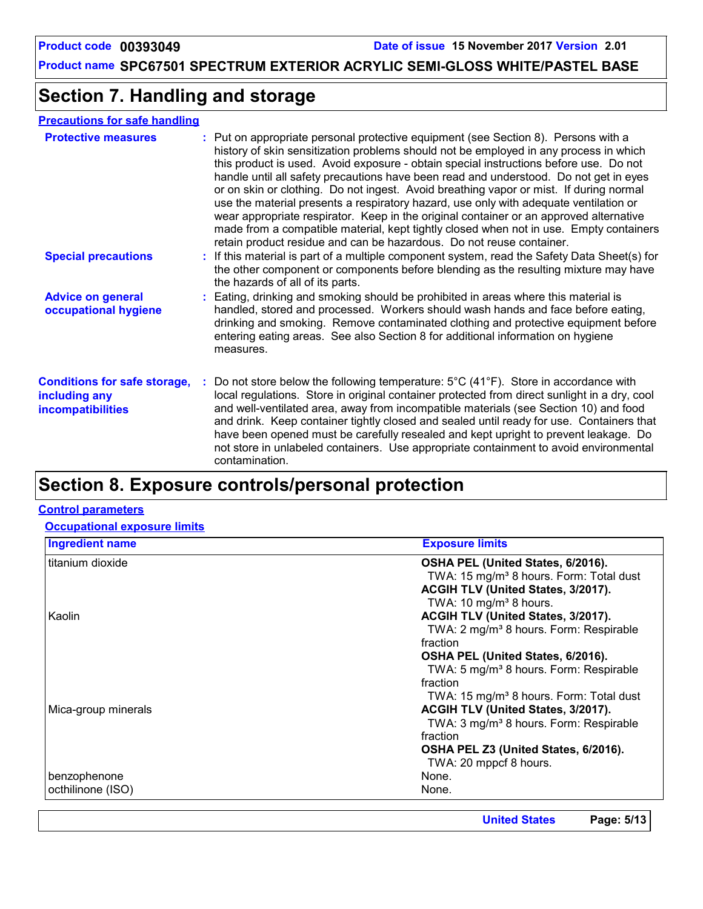# **Section 7. Handling and storage**

#### **Precautions for safe handling**

| <b>Protective measures</b>                                                       | : Put on appropriate personal protective equipment (see Section 8). Persons with a<br>history of skin sensitization problems should not be employed in any process in which<br>this product is used. Avoid exposure - obtain special instructions before use. Do not<br>handle until all safety precautions have been read and understood. Do not get in eyes<br>or on skin or clothing. Do not ingest. Avoid breathing vapor or mist. If during normal<br>use the material presents a respiratory hazard, use only with adequate ventilation or<br>wear appropriate respirator. Keep in the original container or an approved alternative<br>made from a compatible material, kept tightly closed when not in use. Empty containers<br>retain product residue and can be hazardous. Do not reuse container. |
|----------------------------------------------------------------------------------|--------------------------------------------------------------------------------------------------------------------------------------------------------------------------------------------------------------------------------------------------------------------------------------------------------------------------------------------------------------------------------------------------------------------------------------------------------------------------------------------------------------------------------------------------------------------------------------------------------------------------------------------------------------------------------------------------------------------------------------------------------------------------------------------------------------|
| <b>Special precautions</b>                                                       | : If this material is part of a multiple component system, read the Safety Data Sheet(s) for<br>the other component or components before blending as the resulting mixture may have<br>the hazards of all of its parts.                                                                                                                                                                                                                                                                                                                                                                                                                                                                                                                                                                                      |
| <b>Advice on general</b><br>occupational hygiene                                 | : Eating, drinking and smoking should be prohibited in areas where this material is<br>handled, stored and processed. Workers should wash hands and face before eating,<br>drinking and smoking. Remove contaminated clothing and protective equipment before<br>entering eating areas. See also Section 8 for additional information on hygiene<br>measures.                                                                                                                                                                                                                                                                                                                                                                                                                                                |
| <b>Conditions for safe storage,</b><br>including any<br><b>incompatibilities</b> | Do not store below the following temperature: $5^{\circ}$ C (41 <sup>°</sup> F). Store in accordance with<br>local regulations. Store in original container protected from direct sunlight in a dry, cool<br>and well-ventilated area, away from incompatible materials (see Section 10) and food<br>and drink. Keep container tightly closed and sealed until ready for use. Containers that<br>have been opened must be carefully resealed and kept upright to prevent leakage. Do<br>not store in unlabeled containers. Use appropriate containment to avoid environmental<br>contamination.                                                                                                                                                                                                              |

# **Section 8. Exposure controls/personal protection**

#### **Control parameters**

#### **Occupational exposure limits**

| OSHA PEL (United States, 6/2016).<br>TWA: 15 mg/m <sup>3</sup> 8 hours. Form: Total dust<br>ACGIH TLV (United States, 3/2017).<br>TWA: 10 mg/m <sup>3</sup> 8 hours.<br>ACGIH TLV (United States, 3/2017).<br>TWA: 2 mg/m <sup>3</sup> 8 hours. Form: Respirable<br>fraction<br>OSHA PEL (United States, 6/2016). |
|-------------------------------------------------------------------------------------------------------------------------------------------------------------------------------------------------------------------------------------------------------------------------------------------------------------------|
|                                                                                                                                                                                                                                                                                                                   |
|                                                                                                                                                                                                                                                                                                                   |
|                                                                                                                                                                                                                                                                                                                   |
|                                                                                                                                                                                                                                                                                                                   |
|                                                                                                                                                                                                                                                                                                                   |
|                                                                                                                                                                                                                                                                                                                   |
|                                                                                                                                                                                                                                                                                                                   |
|                                                                                                                                                                                                                                                                                                                   |
| TWA: 5 mg/m <sup>3</sup> 8 hours. Form: Respirable                                                                                                                                                                                                                                                                |
| fraction                                                                                                                                                                                                                                                                                                          |
| TWA: 15 mg/m <sup>3</sup> 8 hours. Form: Total dust                                                                                                                                                                                                                                                               |
| ACGIH TLV (United States, 3/2017).                                                                                                                                                                                                                                                                                |
| TWA: 3 mg/m <sup>3</sup> 8 hours. Form: Respirable                                                                                                                                                                                                                                                                |
| fraction                                                                                                                                                                                                                                                                                                          |
| OSHA PEL Z3 (United States, 6/2016).                                                                                                                                                                                                                                                                              |
| TWA: 20 mppcf 8 hours.                                                                                                                                                                                                                                                                                            |
| None.                                                                                                                                                                                                                                                                                                             |
|                                                                                                                                                                                                                                                                                                                   |
|                                                                                                                                                                                                                                                                                                                   |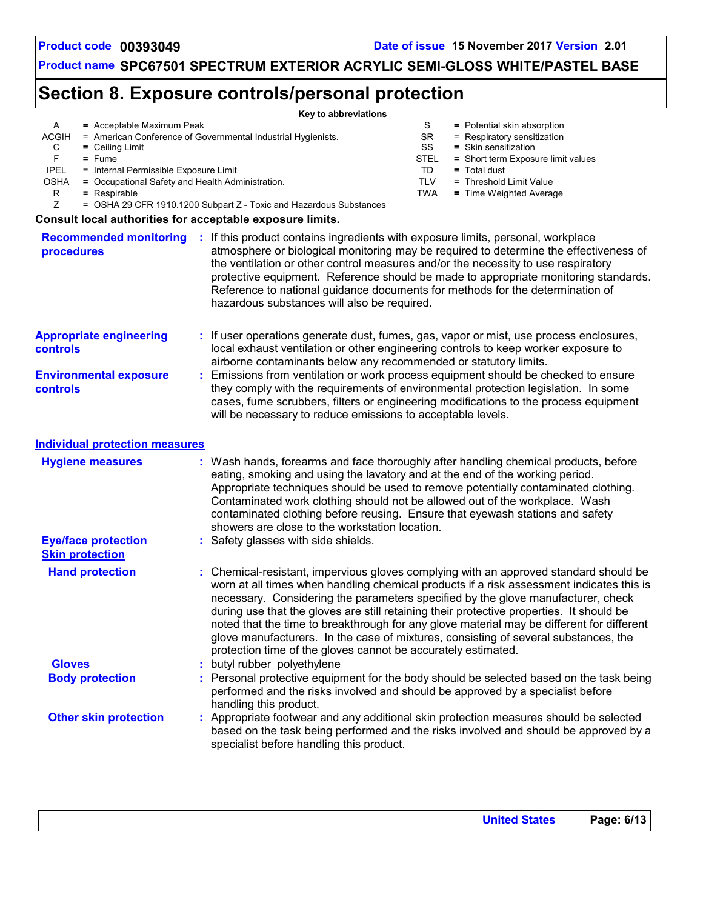# **Section 8. Exposure controls/personal protection**

|                                                      |                                                              | Key to abbreviations                                                                                                                                                                                                                                                                                  |                   |                                                                                                                                                                                                                                                                                                                                                                                                                                                                                                                                                     |
|------------------------------------------------------|--------------------------------------------------------------|-------------------------------------------------------------------------------------------------------------------------------------------------------------------------------------------------------------------------------------------------------------------------------------------------------|-------------------|-----------------------------------------------------------------------------------------------------------------------------------------------------------------------------------------------------------------------------------------------------------------------------------------------------------------------------------------------------------------------------------------------------------------------------------------------------------------------------------------------------------------------------------------------------|
| A                                                    | = Acceptable Maximum Peak                                    |                                                                                                                                                                                                                                                                                                       | S<br><b>SR</b>    | = Potential skin absorption                                                                                                                                                                                                                                                                                                                                                                                                                                                                                                                         |
| ACGIH                                                | = American Conference of Governmental Industrial Hygienists. |                                                                                                                                                                                                                                                                                                       |                   | = Respiratory sensitization                                                                                                                                                                                                                                                                                                                                                                                                                                                                                                                         |
| С<br>$=$ Ceiling Limit<br>F<br>$=$ Fume              |                                                              |                                                                                                                                                                                                                                                                                                       | SS<br><b>STEL</b> | = Skin sensitization<br>= Short term Exposure limit values                                                                                                                                                                                                                                                                                                                                                                                                                                                                                          |
| <b>IPEL</b>                                          | = Internal Permissible Exposure Limit                        |                                                                                                                                                                                                                                                                                                       |                   | $=$ Total dust                                                                                                                                                                                                                                                                                                                                                                                                                                                                                                                                      |
| OSHA                                                 | = Occupational Safety and Health Administration.             |                                                                                                                                                                                                                                                                                                       |                   | = Threshold Limit Value                                                                                                                                                                                                                                                                                                                                                                                                                                                                                                                             |
| R<br>$=$ Respirable                                  |                                                              |                                                                                                                                                                                                                                                                                                       | <b>TWA</b>        | = Time Weighted Average                                                                                                                                                                                                                                                                                                                                                                                                                                                                                                                             |
| Ζ                                                    |                                                              | = OSHA 29 CFR 1910.1200 Subpart Z - Toxic and Hazardous Substances                                                                                                                                                                                                                                    |                   |                                                                                                                                                                                                                                                                                                                                                                                                                                                                                                                                                     |
|                                                      |                                                              | Consult local authorities for acceptable exposure limits.                                                                                                                                                                                                                                             |                   |                                                                                                                                                                                                                                                                                                                                                                                                                                                                                                                                                     |
| <b>Recommended monitoring</b><br>procedures          |                                                              | : If this product contains ingredients with exposure limits, personal, workplace<br>the ventilation or other control measures and/or the necessity to use respiratory<br>Reference to national guidance documents for methods for the determination of<br>hazardous substances will also be required. |                   | atmosphere or biological monitoring may be required to determine the effectiveness of<br>protective equipment. Reference should be made to appropriate monitoring standards.                                                                                                                                                                                                                                                                                                                                                                        |
| <b>Appropriate engineering</b><br><b>controls</b>    |                                                              | airborne contaminants below any recommended or statutory limits.                                                                                                                                                                                                                                      |                   | If user operations generate dust, fumes, gas, vapor or mist, use process enclosures,<br>local exhaust ventilation or other engineering controls to keep worker exposure to                                                                                                                                                                                                                                                                                                                                                                          |
| <b>Environmental exposure</b><br>controls            |                                                              | will be necessary to reduce emissions to acceptable levels.                                                                                                                                                                                                                                           |                   | Emissions from ventilation or work process equipment should be checked to ensure<br>they comply with the requirements of environmental protection legislation. In some<br>cases, fume scrubbers, filters or engineering modifications to the process equipment                                                                                                                                                                                                                                                                                      |
| <b>Individual protection measures</b>                |                                                              |                                                                                                                                                                                                                                                                                                       |                   |                                                                                                                                                                                                                                                                                                                                                                                                                                                                                                                                                     |
| <b>Hygiene measures</b>                              |                                                              | eating, smoking and using the lavatory and at the end of the working period.<br>Contaminated work clothing should not be allowed out of the workplace. Wash<br>contaminated clothing before reusing. Ensure that eyewash stations and safety<br>showers are close to the workstation location.        |                   | Wash hands, forearms and face thoroughly after handling chemical products, before<br>Appropriate techniques should be used to remove potentially contaminated clothing.                                                                                                                                                                                                                                                                                                                                                                             |
| <b>Eye/face protection</b><br><b>Skin protection</b> |                                                              | Safety glasses with side shields.                                                                                                                                                                                                                                                                     |                   |                                                                                                                                                                                                                                                                                                                                                                                                                                                                                                                                                     |
| <b>Hand protection</b>                               |                                                              | protection time of the gloves cannot be accurately estimated.                                                                                                                                                                                                                                         |                   | Chemical-resistant, impervious gloves complying with an approved standard should be<br>worn at all times when handling chemical products if a risk assessment indicates this is<br>necessary. Considering the parameters specified by the glove manufacturer, check<br>during use that the gloves are still retaining their protective properties. It should be<br>noted that the time to breakthrough for any glove material may be different for different<br>glove manufacturers. In the case of mixtures, consisting of several substances, the |
| <b>Gloves</b>                                        |                                                              | butyl rubber polyethylene                                                                                                                                                                                                                                                                             |                   |                                                                                                                                                                                                                                                                                                                                                                                                                                                                                                                                                     |
| <b>Body protection</b>                               |                                                              | performed and the risks involved and should be approved by a specialist before<br>handling this product.                                                                                                                                                                                              |                   | Personal protective equipment for the body should be selected based on the task being                                                                                                                                                                                                                                                                                                                                                                                                                                                               |
| <b>Other skin protection</b>                         |                                                              | specialist before handling this product.                                                                                                                                                                                                                                                              |                   | Appropriate footwear and any additional skin protection measures should be selected<br>based on the task being performed and the risks involved and should be approved by a                                                                                                                                                                                                                                                                                                                                                                         |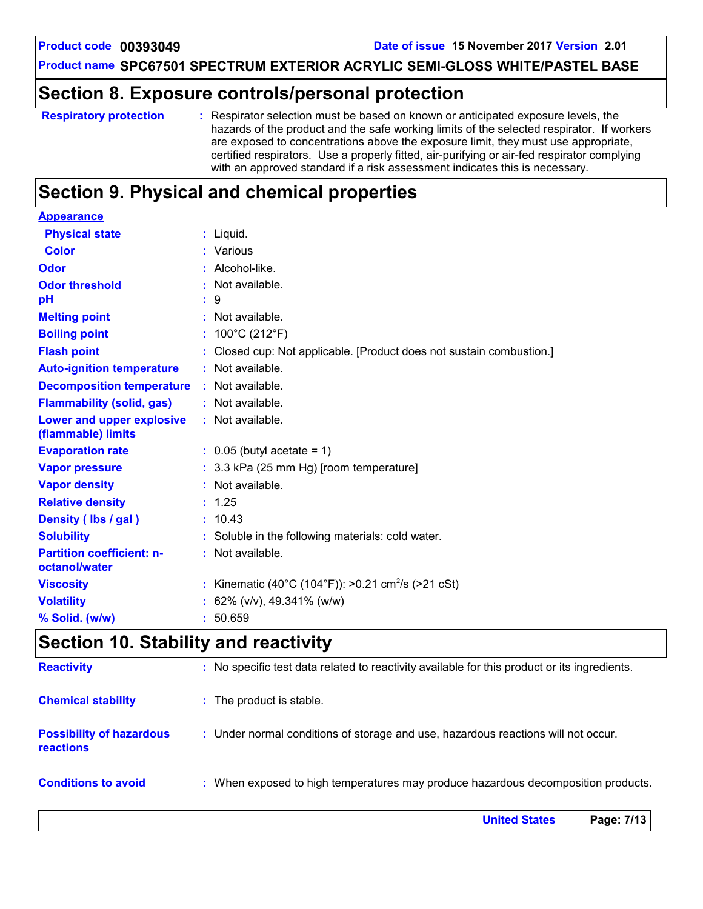**Product code 00393049 Date of issue 15 November 2017 Version 2.01**

**Product name SPC67501 SPECTRUM EXTERIOR ACRYLIC SEMI-GLOSS WHITE/PASTEL BASE**

### **Section 8. Exposure controls/personal protection**

| <b>Respiratory protection</b> | : Respirator selection must be based on known or anticipated exposure levels, the<br>hazards of the product and the safe working limits of the selected respirator. If workers<br>are exposed to concentrations above the exposure limit, they must use appropriate,<br>certified respirators. Use a properly fitted, air-purifying or air-fed respirator complying<br>with an approved standard if a risk assessment indicates this is necessary. |
|-------------------------------|----------------------------------------------------------------------------------------------------------------------------------------------------------------------------------------------------------------------------------------------------------------------------------------------------------------------------------------------------------------------------------------------------------------------------------------------------|
|                               |                                                                                                                                                                                                                                                                                                                                                                                                                                                    |

# **Section 9. Physical and chemical properties**

| <b>Appearance</b>                               |                                                                    |
|-------------------------------------------------|--------------------------------------------------------------------|
| <b>Physical state</b>                           | $:$ Liquid.                                                        |
| <b>Color</b>                                    | : Various                                                          |
| Odor                                            | Alcohol-like.                                                      |
| <b>Odor threshold</b>                           | Not available.                                                     |
| рH                                              | 9                                                                  |
| <b>Melting point</b>                            | : Not available.                                                   |
| <b>Boiling point</b>                            | 100°C (212°F)                                                      |
| <b>Flash point</b>                              | Closed cup: Not applicable. [Product does not sustain combustion.] |
| <b>Auto-ignition temperature</b>                | : Not available.                                                   |
| <b>Decomposition temperature</b>                | $:$ Not available.                                                 |
| <b>Flammability (solid, gas)</b>                | : Not available.                                                   |
| Lower and upper explosive<br>(flammable) limits | : Not available.                                                   |
| <b>Evaporation rate</b>                         | $\therefore$ 0.05 (butyl acetate = 1)                              |
| <b>Vapor pressure</b>                           | : 3.3 kPa (25 mm Hg) [room temperature]                            |
| <b>Vapor density</b>                            | : Not available.                                                   |
| <b>Relative density</b>                         | : 1.25                                                             |
| Density (Ibs / gal)                             | : 10.43                                                            |
| <b>Solubility</b>                               | : Soluble in the following materials: cold water.                  |
| <b>Partition coefficient: n-</b>                | : Not available.                                                   |
| octanol/water                                   |                                                                    |
| <b>Viscosity</b>                                | Kinematic (40°C (104°F)): >0.21 cm <sup>2</sup> /s (>21 cSt)       |
| <b>Volatility</b>                               | 62% (v/v), 49.341% (w/w)                                           |
| % Solid. (w/w)                                  | : 50.659                                                           |

# **Section 10. Stability and reactivity**

|                                                     | <b>United States</b><br>Page: 7/13                                                           |
|-----------------------------------------------------|----------------------------------------------------------------------------------------------|
| <b>Conditions to avoid</b>                          | : When exposed to high temperatures may produce hazardous decomposition products.            |
| <b>Possibility of hazardous</b><br><b>reactions</b> | : Under normal conditions of storage and use, hazardous reactions will not occur.            |
| <b>Chemical stability</b>                           | : The product is stable.                                                                     |
| <b>Reactivity</b>                                   | : No specific test data related to reactivity available for this product or its ingredients. |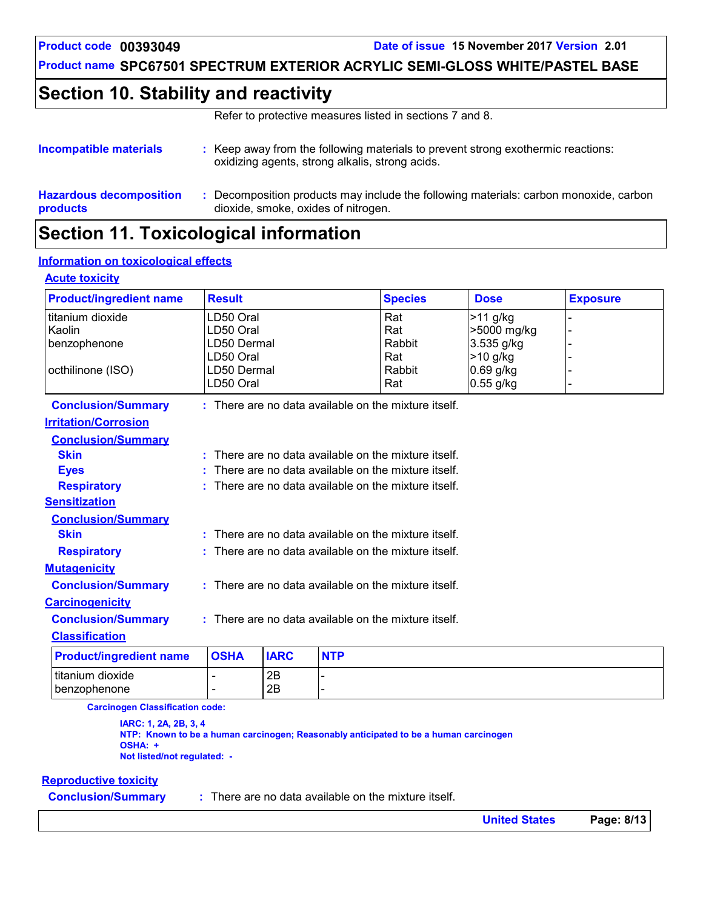**Product code 00393049 Date of issue 15 November 2017 Version 2.01**

**Product name SPC67501 SPECTRUM EXTERIOR ACRYLIC SEMI-GLOSS WHITE/PASTEL BASE**

# **Section 10. Stability and reactivity**

Refer to protective measures listed in sections 7 and 8.

| Incompatible materials                     |  | Keep away from the following materials to prevent strong exothermic reactions:<br>oxidizing agents, strong alkalis, strong acids. |
|--------------------------------------------|--|-----------------------------------------------------------------------------------------------------------------------------------|
| <b>Hazardous decomposition</b><br>products |  | : Decomposition products may include the following materials: carbon monoxide, carbon<br>dioxide, smoke, oxides of nitrogen.      |
|                                            |  |                                                                                                                                   |

### **Section 11. Toxicological information**

#### **Information on toxicological effects**

| <b>Acute toxicity</b>          |                          |             |            |                                                        |             |                 |
|--------------------------------|--------------------------|-------------|------------|--------------------------------------------------------|-------------|-----------------|
| <b>Product/ingredient name</b> | <b>Result</b>            |             |            | <b>Species</b>                                         | <b>Dose</b> | <b>Exposure</b> |
| titanium dioxide               | LD50 Oral                |             |            | Rat                                                    | $>11$ g/kg  |                 |
| Kaolin                         | LD50 Oral                |             |            | Rat                                                    | >5000 mg/kg |                 |
| benzophenone                   | LD50 Dermal              |             |            | Rabbit                                                 | 3.535 g/kg  |                 |
|                                | LD50 Oral                |             |            | Rat                                                    | >10 g/kg    |                 |
| octhilinone (ISO)              | LD50 Dermal              |             |            | Rabbit                                                 | $0.69$ g/kg |                 |
|                                | LD50 Oral                |             |            | Rat                                                    | 0.55 g/kg   |                 |
| <b>Conclusion/Summary</b>      |                          |             |            | : There are no data available on the mixture itself.   |             |                 |
| <b>Irritation/Corrosion</b>    |                          |             |            |                                                        |             |                 |
| <b>Conclusion/Summary</b>      |                          |             |            |                                                        |             |                 |
| <b>Skin</b>                    |                          |             |            | $:$ There are no data available on the mixture itself. |             |                 |
| <b>Eyes</b>                    |                          |             |            | There are no data available on the mixture itself.     |             |                 |
| <b>Respiratory</b>             |                          |             |            | $:$ There are no data available on the mixture itself. |             |                 |
| <b>Sensitization</b>           |                          |             |            |                                                        |             |                 |
| <b>Conclusion/Summary</b>      |                          |             |            |                                                        |             |                 |
| <b>Skin</b>                    |                          |             |            | $:$ There are no data available on the mixture itself. |             |                 |
| <b>Respiratory</b>             |                          |             |            | $:$ There are no data available on the mixture itself. |             |                 |
| <b>Mutagenicity</b>            |                          |             |            |                                                        |             |                 |
| <b>Conclusion/Summary</b>      |                          |             |            | $:$ There are no data available on the mixture itself. |             |                 |
| <b>Carcinogenicity</b>         |                          |             |            |                                                        |             |                 |
| <b>Conclusion/Summary</b>      |                          |             |            | : There are no data available on the mixture itself.   |             |                 |
| <b>Classification</b>          |                          |             |            |                                                        |             |                 |
| <b>Product/ingredient name</b> | <b>OSHA</b>              | <b>IARC</b> | <b>NTP</b> |                                                        |             |                 |
| titanium dioxide               |                          | 2B          |            |                                                        |             |                 |
| benzophenone                   | $\overline{\phantom{0}}$ | 2B          |            |                                                        |             |                 |

**Carcinogen Classification code:**

**IARC: 1, 2A, 2B, 3, 4 NTP: Known to be a human carcinogen; Reasonably anticipated to be a human carcinogen OSHA: + Not listed/not regulated: -**

#### **Reproductive toxicity**

**Conclusion/Summary :** There are no data available on the mixture itself.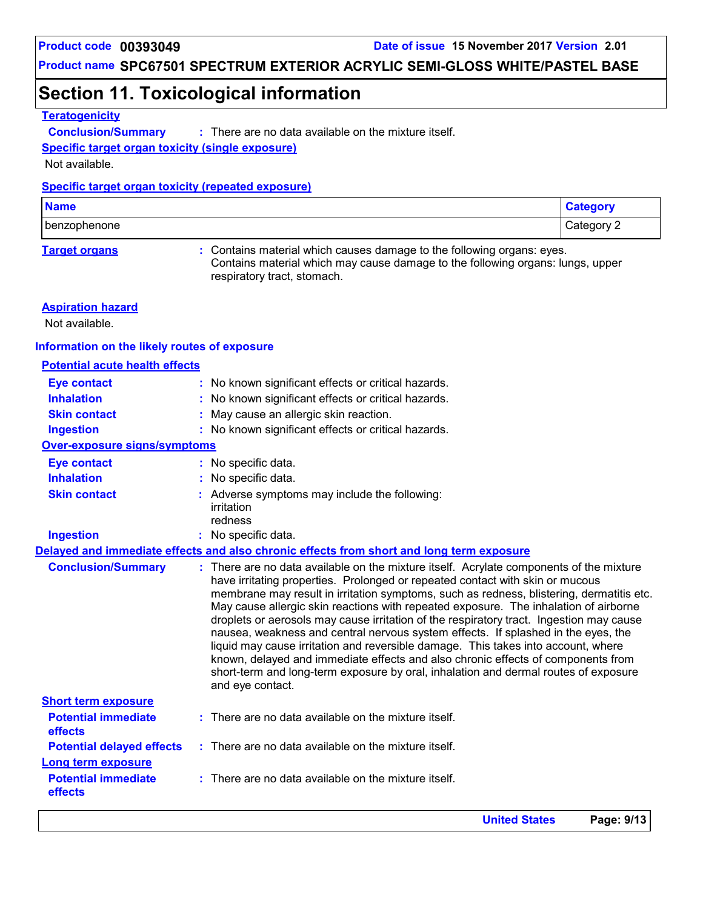# **Section 11. Toxicological information**

#### **Teratogenicity**

**Conclusion/Summary :** : There are no data available on the mixture itself.

**Specific target organ toxicity (single exposure)**

Not available.

#### **Specific target organ toxicity (repeated exposure)**

| <b>Name</b>  | tegory     |
|--------------|------------|
| benzophenone | Category 2 |

**Target organs :** Contains material which causes damage to the following organs: eyes. Contains material which may cause damage to the following organs: lungs, upper respiratory tract, stomach.

#### **Aspiration hazard**

Not available.

#### **Information on the likely routes of exposure**

#### **Potential acute health effects**

| <b>Eye contact</b>                                     | : No known significant effects or critical hazards.                                                                                                                                                                                                                                                                                                                                                                                                                                                                                                                                                                                                                                                                                                                                                                              |
|--------------------------------------------------------|----------------------------------------------------------------------------------------------------------------------------------------------------------------------------------------------------------------------------------------------------------------------------------------------------------------------------------------------------------------------------------------------------------------------------------------------------------------------------------------------------------------------------------------------------------------------------------------------------------------------------------------------------------------------------------------------------------------------------------------------------------------------------------------------------------------------------------|
| <b>Inhalation</b>                                      | : No known significant effects or critical hazards.                                                                                                                                                                                                                                                                                                                                                                                                                                                                                                                                                                                                                                                                                                                                                                              |
| <b>Skin contact</b>                                    | : May cause an allergic skin reaction.                                                                                                                                                                                                                                                                                                                                                                                                                                                                                                                                                                                                                                                                                                                                                                                           |
| <b>Ingestion</b>                                       | : No known significant effects or critical hazards.                                                                                                                                                                                                                                                                                                                                                                                                                                                                                                                                                                                                                                                                                                                                                                              |
| <b>Over-exposure signs/symptoms</b>                    |                                                                                                                                                                                                                                                                                                                                                                                                                                                                                                                                                                                                                                                                                                                                                                                                                                  |
| <b>Eye contact</b>                                     | : No specific data.                                                                                                                                                                                                                                                                                                                                                                                                                                                                                                                                                                                                                                                                                                                                                                                                              |
| <b>Inhalation</b>                                      | : No specific data.                                                                                                                                                                                                                                                                                                                                                                                                                                                                                                                                                                                                                                                                                                                                                                                                              |
| <b>Skin contact</b>                                    | : Adverse symptoms may include the following:<br>irritation<br>redness                                                                                                                                                                                                                                                                                                                                                                                                                                                                                                                                                                                                                                                                                                                                                           |
| <b>Ingestion</b>                                       | : No specific data.                                                                                                                                                                                                                                                                                                                                                                                                                                                                                                                                                                                                                                                                                                                                                                                                              |
|                                                        | Delayed and immediate effects and also chronic effects from short and long term exposure                                                                                                                                                                                                                                                                                                                                                                                                                                                                                                                                                                                                                                                                                                                                         |
| <b>Conclusion/Summary</b>                              | : There are no data available on the mixture itself. Acrylate components of the mixture<br>have irritating properties. Prolonged or repeated contact with skin or mucous<br>membrane may result in irritation symptoms, such as redness, blistering, dermatitis etc.<br>May cause allergic skin reactions with repeated exposure. The inhalation of airborne<br>droplets or aerosols may cause irritation of the respiratory tract. Ingestion may cause<br>nausea, weakness and central nervous system effects. If splashed in the eyes, the<br>liquid may cause irritation and reversible damage. This takes into account, where<br>known, delayed and immediate effects and also chronic effects of components from<br>short-term and long-term exposure by oral, inhalation and dermal routes of exposure<br>and eye contact. |
| <b>Short term exposure</b>                             |                                                                                                                                                                                                                                                                                                                                                                                                                                                                                                                                                                                                                                                                                                                                                                                                                                  |
| <b>Potential immediate</b><br><b>effects</b>           | : There are no data available on the mixture itself.                                                                                                                                                                                                                                                                                                                                                                                                                                                                                                                                                                                                                                                                                                                                                                             |
| <b>Potential delayed effects</b><br>Long term exposure | $\therefore$ There are no data available on the mixture itself.                                                                                                                                                                                                                                                                                                                                                                                                                                                                                                                                                                                                                                                                                                                                                                  |
| <b>Potential immediate</b><br>effects                  | $:$ There are no data available on the mixture itself.                                                                                                                                                                                                                                                                                                                                                                                                                                                                                                                                                                                                                                                                                                                                                                           |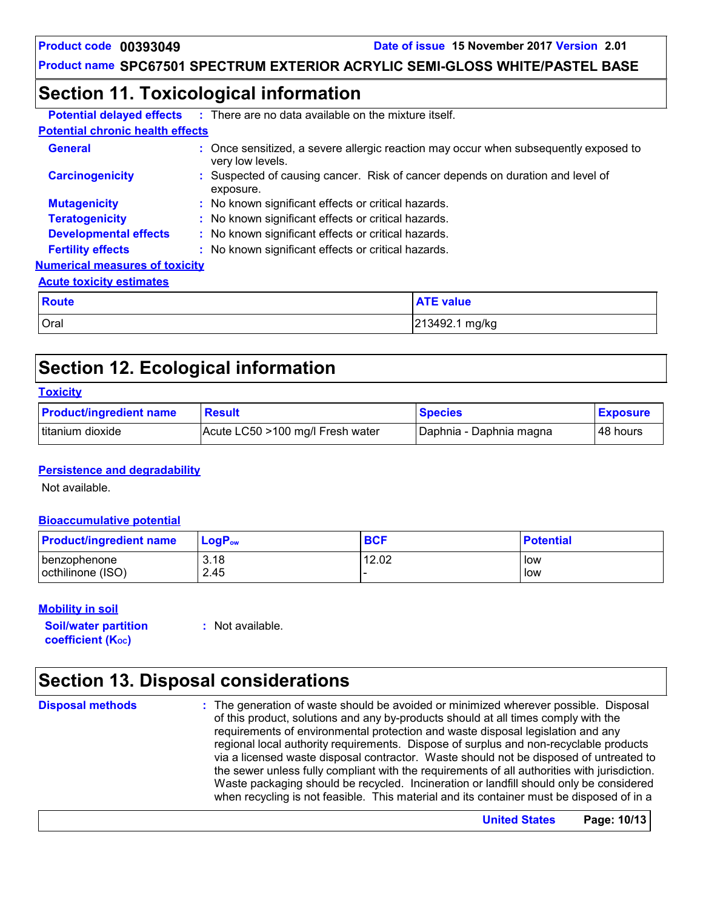### **Section 11. Toxicological information**

| <b>Potential delayed effects</b>        | : There are no data available on the mixture itself.                                                     |  |  |  |
|-----------------------------------------|----------------------------------------------------------------------------------------------------------|--|--|--|
| <b>Potential chronic health effects</b> |                                                                                                          |  |  |  |
| <b>General</b>                          | : Once sensitized, a severe allergic reaction may occur when subsequently exposed to<br>very low levels. |  |  |  |
| <b>Carcinogenicity</b>                  | Suspected of causing cancer. Risk of cancer depends on duration and level of<br>exposure.                |  |  |  |
| <b>Mutagenicity</b>                     | : No known significant effects or critical hazards.                                                      |  |  |  |
| <b>Teratogenicity</b>                   | : No known significant effects or critical hazards.                                                      |  |  |  |
| <b>Developmental effects</b>            | : No known significant effects or critical hazards.                                                      |  |  |  |
| <b>Fertility effects</b>                | : No known significant effects or critical hazards.                                                      |  |  |  |
| <b>Numerical measures of toxicity</b>   |                                                                                                          |  |  |  |
| <b>Acute toxicity estimates</b>         |                                                                                                          |  |  |  |
| <b>Route</b>                            | <b>ATE value</b>                                                                                         |  |  |  |
| Oral                                    | 213492.1 mg/kg                                                                                           |  |  |  |

# **Section 12. Ecological information**

| <b>Toxicity</b>                |                                  |                         |                 |
|--------------------------------|----------------------------------|-------------------------|-----------------|
| <b>Product/ingredient name</b> | <b>Result</b>                    | <b>Species</b>          | <b>Exposure</b> |
| l titanium dioxide             | Acute LC50 >100 mg/l Fresh water | Daphnia - Daphnia magna | l 48 hours      |

#### **Persistence and degradability**

Not available.

#### **Bioaccumulative potential**

| <b>Product/ingredient name</b> | $\mathsf{LogP}_\mathsf{ow}$ | <b>BCF</b> | <b>Potential</b> |
|--------------------------------|-----------------------------|------------|------------------|
| I benzophenone                 | 3.18                        | 12.02      | low              |
| octhilinone (ISO)              | 2.45                        |            | low              |

#### **Mobility in soil**

**Soil/water partition coefficient (K**<sub>oc</sub>)

**:** Not available.

# **Section 13. Disposal considerations**

#### **Disposal methods :**

The generation of waste should be avoided or minimized wherever possible. Disposal of this product, solutions and any by-products should at all times comply with the requirements of environmental protection and waste disposal legislation and any regional local authority requirements. Dispose of surplus and non-recyclable products via a licensed waste disposal contractor. Waste should not be disposed of untreated to the sewer unless fully compliant with the requirements of all authorities with jurisdiction. Waste packaging should be recycled. Incineration or landfill should only be considered when recycling is not feasible. This material and its container must be disposed of in a

**United States Page: 10/13**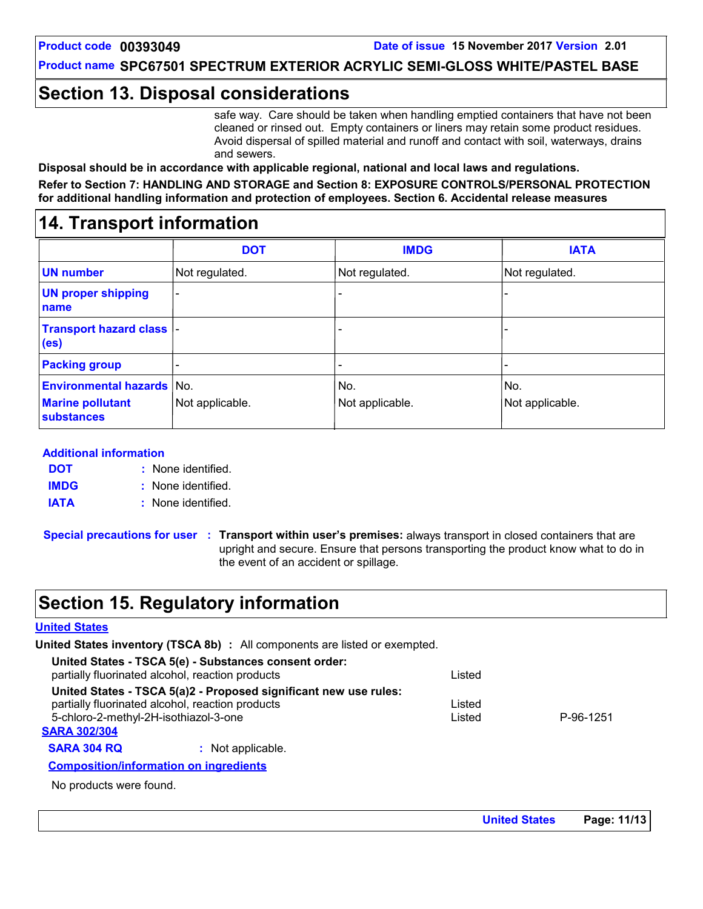### **Section 13. Disposal considerations**

safe way. Care should be taken when handling emptied containers that have not been cleaned or rinsed out. Empty containers or liners may retain some product residues. Avoid dispersal of spilled material and runoff and contact with soil, waterways, drains and sewers.

**Disposal should be in accordance with applicable regional, national and local laws and regulations.**

**Refer to Section 7: HANDLING AND STORAGE and Section 8: EXPOSURE CONTROLS/PERSONAL PROTECTION for additional handling information and protection of employees. Section 6. Accidental release measures**

### **14. Transport information**

|                                                                                  | <b>DOT</b>      | <b>IMDG</b>            | <b>IATA</b>            |
|----------------------------------------------------------------------------------|-----------------|------------------------|------------------------|
| <b>UN number</b>                                                                 | Not regulated.  | Not regulated.         | Not regulated.         |
| <b>UN proper shipping</b><br>name                                                |                 |                        |                        |
| <b>Transport hazard class  -</b><br>(e <sub>s</sub> )                            |                 |                        |                        |
| <b>Packing group</b>                                                             |                 | ٠                      |                        |
| <b>Environmental hazards No.</b><br><b>Marine pollutant</b><br><b>substances</b> | Not applicable. | No.<br>Not applicable. | No.<br>Not applicable. |

#### **Additional information**

None identified. **: DOT IMDG**

None identified. **:**

**IATA :** None identified.

**Special precautions for user Transport within user's premises:** always transport in closed containers that are **:** upright and secure. Ensure that persons transporting the product know what to do in the event of an accident or spillage.

### **Section 15. Regulatory information**

#### **United States**

**United States inventory (TSCA 8b) :** All components are listed or exempted.

| Inited States inventory (TSCA 8b) : All components are listed or exempted.                                |        |           |  |
|-----------------------------------------------------------------------------------------------------------|--------|-----------|--|
| United States - TSCA 5(e) - Substances consent order:<br>partially fluorinated alcohol, reaction products | Listed |           |  |
| United States - TSCA 5(a)2 - Proposed significant new use rules:                                          |        |           |  |
| partially fluorinated alcohol, reaction products                                                          | Listed |           |  |
| 5-chloro-2-methyl-2H-isothiazol-3-one                                                                     | Listed | P-96-1251 |  |
| <b>SARA 302/304</b>                                                                                       |        |           |  |
| <b>SARA 304 RQ</b><br>: Not applicable.                                                                   |        |           |  |
| <b>Composition/information on ingredients</b>                                                             |        |           |  |

No products were found.

**United States Page: 11/13**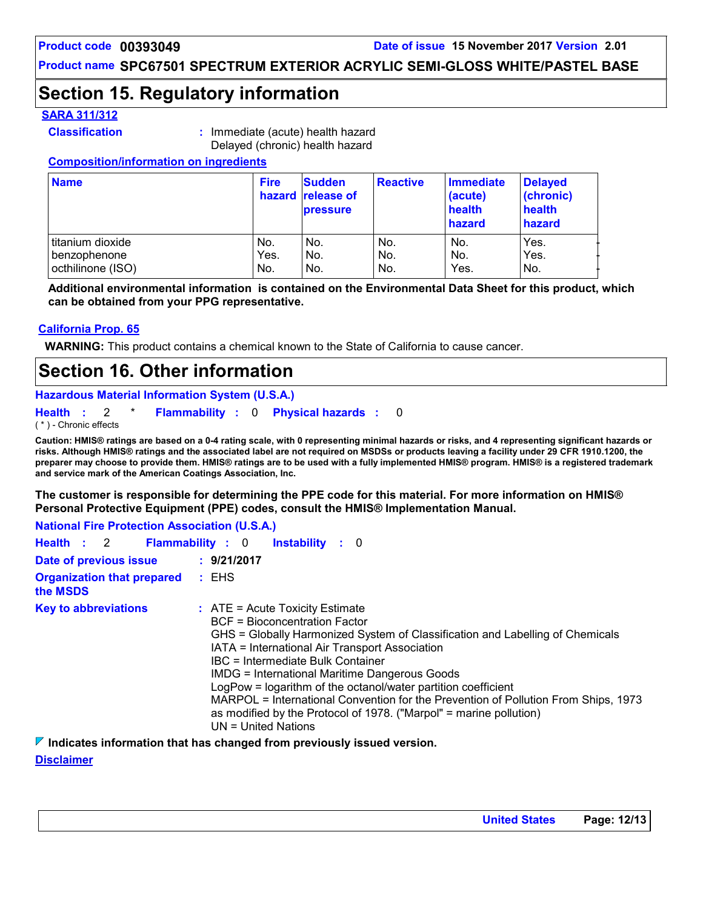# **Section 15. Regulatory information**

#### **SARA 311/312**

- 
- **Classification :** Immediate (acute) health hazard Delayed (chronic) health hazard

#### **Composition/information on ingredients**

| <b>Name</b>       | <b>Fire</b> | <b>Sudden</b><br>hazard release of<br><b>pressure</b> | <b>Reactive</b> | Immediate<br>(acute)<br>health<br>hazard | <b>Delayed</b><br>(chronic)<br>health<br>hazard |
|-------------------|-------------|-------------------------------------------------------|-----------------|------------------------------------------|-------------------------------------------------|
| titanium dioxide  | No.         | No.                                                   | No.             | No.                                      | Yes.                                            |
| benzophenone      | Yes.        | No.                                                   | No.             | No.                                      | Yes.                                            |
| octhilinone (ISO) | No.         | No.                                                   | No.             | Yes.                                     | IN <sub>O</sub>                                 |

**Additional environmental information is contained on the Environmental Data Sheet for this product, which can be obtained from your PPG representative.**

#### **California Prop. 65**

**WARNING:** This product contains a chemical known to the State of California to cause cancer.

### **Section 16. Other information**

**Hazardous Material Information System (U.S.A.)**

**Health** : 2 \* **Flammability** : 0 **Physical hazards** : 0 0

( \* ) - Chronic effects

**Caution: HMIS® ratings are based on a 0-4 rating scale, with 0 representing minimal hazards or risks, and 4 representing significant hazards or risks. Although HMIS® ratings and the associated label are not required on MSDSs or products leaving a facility under 29 CFR 1910.1200, the preparer may choose to provide them. HMIS® ratings are to be used with a fully implemented HMIS® program. HMIS® is a registered trademark and service mark of the American Coatings Association, Inc.**

**The customer is responsible for determining the PPE code for this material. For more information on HMIS® Personal Protective Equipment (PPE) codes, consult the HMIS® Implementation Manual.**

| <b>National Fire Protection Association (U.S.A.)</b>  |                                                                                                                                                                                                                                                                                                                                                                                                                                                                                                                                                                   |
|-------------------------------------------------------|-------------------------------------------------------------------------------------------------------------------------------------------------------------------------------------------------------------------------------------------------------------------------------------------------------------------------------------------------------------------------------------------------------------------------------------------------------------------------------------------------------------------------------------------------------------------|
| Health : 2 Flammability : 0<br><b>Instability</b> : 0 |                                                                                                                                                                                                                                                                                                                                                                                                                                                                                                                                                                   |
| Date of previous issue                                | : 9/21/2017                                                                                                                                                                                                                                                                                                                                                                                                                                                                                                                                                       |
| <b>Organization that prepared : EHS</b><br>the MSDS   |                                                                                                                                                                                                                                                                                                                                                                                                                                                                                                                                                                   |
| <b>Key to abbreviations</b>                           | $\therefore$ ATE = Acute Toxicity Estimate<br>BCF = Bioconcentration Factor<br>GHS = Globally Harmonized System of Classification and Labelling of Chemicals<br>IATA = International Air Transport Association<br>IBC = Intermediate Bulk Container<br><b>IMDG = International Maritime Dangerous Goods</b><br>LogPow = logarithm of the octanol/water partition coefficient<br>MARPOL = International Convention for the Prevention of Pollution From Ships, 1973<br>as modified by the Protocol of 1978. ("Marpol" = marine pollution)<br>$UN = United Nations$ |

**Indicates information that has changed from previously issued version.**

**Disclaimer**